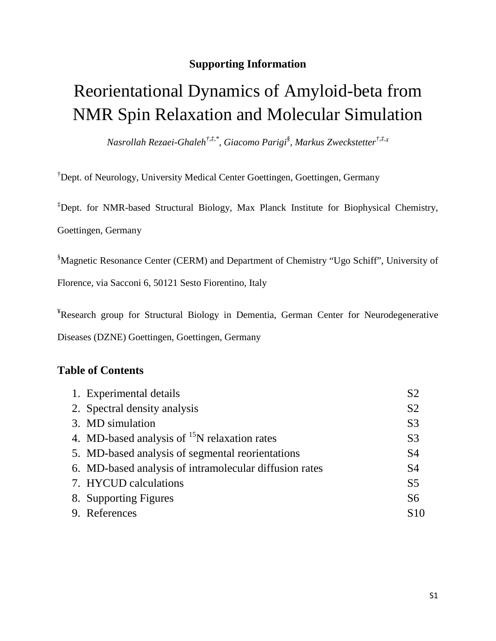# **Supporting Information**

# Reorientational Dynamics of Amyloid-beta from NMR Spin Relaxation and Molecular Simulation

*Nasrollah Rezaei-Ghaleh†,‡,\*, Giacomo Parigi§ , Markus Zweckstetter†,‡,¥*

† Dept. of Neurology, University Medical Center Goettingen, Goettingen, Germany

‡ Dept. for NMR-based Structural Biology, Max Planck Institute for Biophysical Chemistry, Goettingen, Germany

§ Magnetic Resonance Center (CERM) and Department of Chemistry "Ugo Schiff", University of

Florence, via Sacconi 6, 50121 Sesto Fiorentino, Italy

<sup>¥</sup>Research group for Structural Biology in Dementia, German Center for Neurodegenerative Diseases (DZNE) Goettingen, Goettingen, Germany

## **Table of Contents**

| 1. Experimental details                                  | S <sub>2</sub>  |
|----------------------------------------------------------|-----------------|
| 2. Spectral density analysis                             | S <sub>2</sub>  |
| 3. MD simulation                                         | S <sub>3</sub>  |
| 4. MD-based analysis of <sup>15</sup> N relaxation rates | S <sub>3</sub>  |
| 5. MD-based analysis of segmental reorientations         | S <sub>4</sub>  |
| 6. MD-based analysis of intramolecular diffusion rates   | S <sub>4</sub>  |
| 7. HYCUD calculations                                    | S <sub>5</sub>  |
| 8. Supporting Figures                                    | S <sub>6</sub>  |
| 9. References                                            | S <sub>10</sub> |
|                                                          |                 |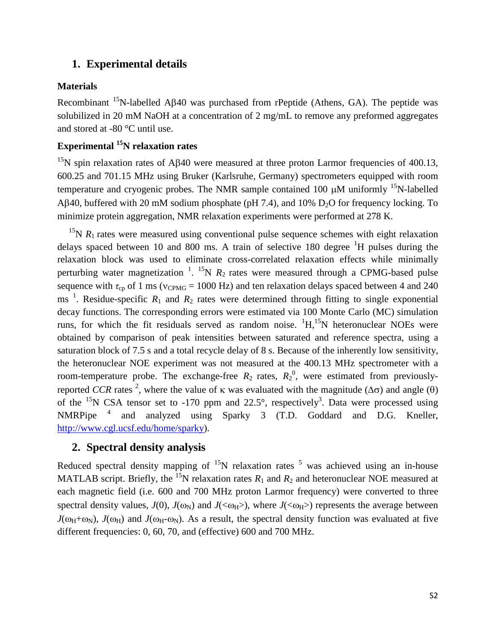## **1. Experimental details**

## **Materials**

Recombinant <sup>15</sup>N-labelled Aβ40 was purchased from rPeptide (Athens, GA). The peptide was solubilized in 20 mM NaOH at a concentration of 2 mg/mL to remove any preformed aggregates and stored at -80 °C until use.

# **Experimental 15N relaxation rates**

<sup>15</sup>N spin relaxation rates of Aβ40 were measured at three proton Larmor frequencies of 400.13, 600.25 and 701.15 MHz using Bruker (Karlsruhe, Germany) spectrometers equipped with room temperature and cryogenic probes. The NMR sample contained 100  $\mu$ M uniformly <sup>15</sup>N-labelled Aβ40, buffered with 20 mM sodium phosphate (pH 7.4), and 10%  $D_2O$  for frequency locking. To minimize protein aggregation, NMR relaxation experiments were performed at 278 K.

<sup>15</sup>N  $R_1$  rates were measured using conventional pulse sequence schemes with eight relaxation delays spaced between 10 and 800 ms. A train of selective 180 degree  ${}^{1}H$  pulses during the relaxation block was used to eliminate cross-correlated relaxation effects while minimally perturbing water magnetization  $1.15N R_2$  $1.15N R_2$  rates were measured through a CPMG-based pulse sequence with  $\tau_{\rm cp}$  of 1 ms ( $v_{\rm CPMG}$  = 1000 Hz) and ten relaxation delays spaced between 4 and 240 ms<sup>[1](#page-9-0)</sup>. Residue-specific  $R_1$  and  $R_2$  rates were determined through fitting to single exponential decay functions. The corresponding errors were estimated via 100 Monte Carlo (MC) simulation runs, for which the fit residuals served as random noise.  ${}^{1}H, {}^{15}N$  heteronuclear NOEs were obtained by comparison of peak intensities between saturated and reference spectra, using a saturation block of 7.5 s and a total recycle delay of 8 s. Because of the inherently low sensitivity, the heteronuclear NOE experiment was not measured at the 400.13 MHz spectrometer with a room-temperature probe. The exchange-free  $R_2$  rates,  $R_2^0$ , were estimated from previouslyreported *CCR* rates <sup>2</sup>[,](#page-9-1) where the value of κ was evaluated with the magnitude ( $\Delta \sigma$ ) and angle (θ) of the  $^{15}N$  CSA tensor set to -170 ppm and 22.5°, respectively<sup>3</sup>. Data were processed using NMRPipe<sup>[4](#page-9-3)</sup> and analyzed using Sparky 3 (T.D. Goddard and D.G. Kneller, [http://www.cgl.ucsf.edu/home/sparky\)](http://www.cgl.ucsf.edu/home/sparky).

## **2. Spectral density analysis**

Reduced spectral density mapping of  $15N$  $15N$  $15N$  relaxation rates  $5$  was achieved using an in-house MATLAB script. Briefly, the <sup>15</sup>N relaxation rates  $R_1$  and  $R_2$  and heteronuclear NOE measured at each magnetic field (i.e. 600 and 700 MHz proton Larmor frequency) were converted to three spectral density values,  $J(0)$ ,  $J(\omega_N)$  and  $J(\langle \omega_H \rangle)$ , where  $J(\langle \omega_H \rangle)$  represents the average between  $J(\omega_H+\omega_N)$ ,  $J(\omega_H)$  and  $J(\omega_H-\omega_N)$ . As a result, the spectral density function was evaluated at five different frequencies: 0, 60, 70, and (effective) 600 and 700 MHz.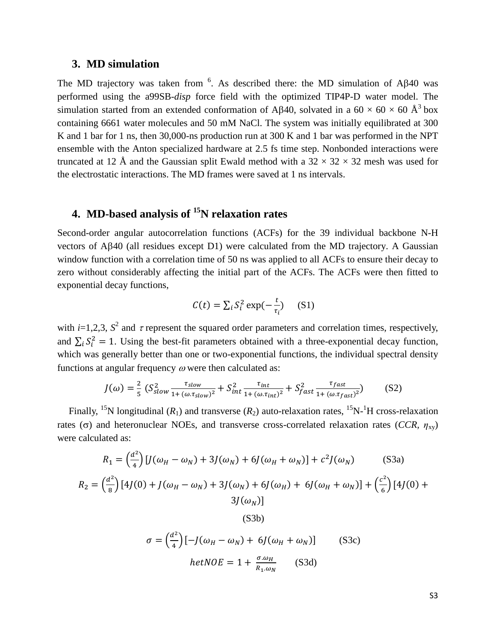#### **3. MD simulation**

The MD trajectory was taken from <sup>[6](#page-9-5)</sup>. As described there: the MD simulation of A $\beta$ 40 was performed using the a99SB-*disp* force field with the optimized TIP4P-D water model. The simulation started from an extended conformation of Aβ40, solvated in a 60  $\times$  60  $\times$  60 Å<sup>3</sup> box containing 6661 water molecules and 50 mM NaCl. The system was initially equilibrated at 300 K and 1 bar for 1 ns, then 30,000-ns production run at 300 K and 1 bar was performed in the NPT ensemble with the Anton specialized hardware at 2.5 fs time step. Nonbonded interactions were truncated at 12 Å and the Gaussian split Ewald method with a  $32 \times 32 \times 32$  mesh was used for the electrostatic interactions. The MD frames were saved at 1 ns intervals.

# **4. MD-based analysis of 15N relaxation rates**

Second-order angular autocorrelation functions (ACFs) for the 39 individual backbone N-H vectors of Aβ40 (all residues except D1) were calculated from the MD trajectory. A Gaussian window function with a correlation time of 50 ns was applied to all ACFs to ensure their decay to zero without considerably affecting the initial part of the ACFs. The ACFs were then fitted to exponential decay functions,

$$
C(t) = \sum_{i} S_i^2 \exp(-\frac{t}{\tau_i})
$$
 (S1)

with  $i=1,2,3$ ,  $S^2$  and  $\tau$  represent the squared order parameters and correlation times, respectively, and  $\sum_i S_i^2 = 1$ . Using the best-fit parameters obtained with a three-exponential decay function, which was generally better than one or two-exponential functions, the individual spectral density functions at angular frequency  $\omega$  were then calculated as:

$$
J(\omega) = \frac{2}{5} \left( S_{slow}^2 \frac{\tau_{slow}}{1 + (\omega \cdot \tau_{slow})^2} + S_{int}^2 \frac{\tau_{int}}{1 + (\omega \cdot \tau_{int})^2} + S_{fast}^2 \frac{\tau_{fast}}{1 + (\omega \cdot \tau_{fast})^2} \right) \tag{S2}
$$

Finally, <sup>15</sup>N longitudinal  $(R_1)$  and transverse  $(R_2)$  auto-relaxation rates, <sup>15</sup>N-<sup>1</sup>H cross-relaxation rates ( $\sigma$ ) and heteronuclear NOEs, and transverse cross-correlated relaxation rates (*CCR*,  $\eta_{xy}$ ) were calculated as:

$$
R_1 = \left(\frac{d^2}{4}\right) [J(\omega_H - \omega_N) + 3J(\omega_N) + 6J(\omega_H + \omega_N)] + c^2 J(\omega_N)
$$
(S3a)  
\n
$$
R_2 = \left(\frac{d^2}{8}\right) [4J(0) + J(\omega_H - \omega_N) + 3J(\omega_N) + 6J(\omega_H) + 6J(\omega_H + \omega_N)] + \left(\frac{c^2}{6}\right) [4J(0) + 3J(\omega_N)]
$$
(S3b)  
\n
$$
\sigma = \left(\frac{d^2}{4}\right) [-J(\omega_H - \omega_N) + 6J(\omega_H + \omega_N)]
$$
(S3c)  
\n
$$
hetNOE = 1 + \frac{\sigma \omega_H}{R_1 \omega_N}
$$
(S3d)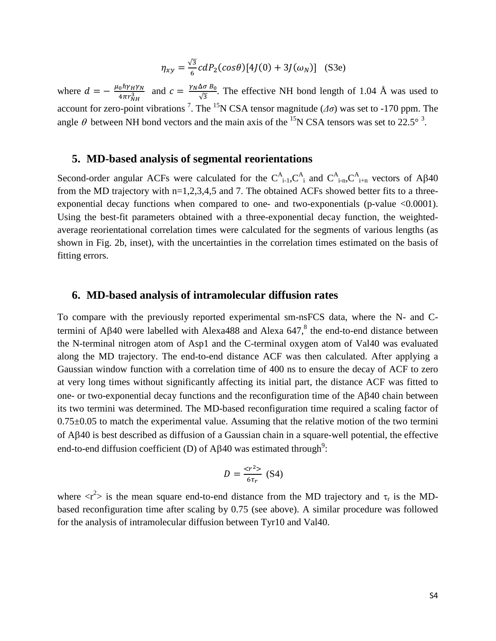$$
\eta_{xy} = \frac{\sqrt{3}}{6} c dP_2(cos\theta) [4J(0) + 3J(\omega_N)]
$$
 (S3e)

where  $d = -\frac{\mu_0 h \gamma_H \gamma_N}{4\pi r_{NH}^3}$  and  $c = \frac{\gamma_N \Delta \sigma B_0}{\sqrt{3}}$ . The effective NH bond length of 1.04 Å was used to account for zero-point vibrations <sup>7</sup>[.](#page-9-6) The <sup>15</sup>N CSA tensor magnitude ( $\Delta \sigma$ ) was set to -170 ppm. The angle  $\theta$  between NH bond vectors and the main axis of the <sup>15</sup>N CSA tensors was set to 22.5°<sup>3</sup>.

#### **5. MD-based analysis of segmental reorientations**

Second-order angular ACFs were calculated for the  $C_{i-1}^A$ ,  $C_{i}^A$  and  $C_{i-1}^A$ ,  $C_{i+1}^A$  vectors of A $\beta$ 40 from the MD trajectory with n=1,2,3,4,5 and 7. The obtained ACFs showed better fits to a threeexponential decay functions when compared to one- and two-exponentials (p-value  $\leq 0.0001$ ). Using the best-fit parameters obtained with a three-exponential decay function, the weightedaverage reorientational correlation times were calculated for the segments of various lengths (as shown in Fig. 2b, inset), with the uncertainties in the correlation times estimated on the basis of fitting errors.

#### **6. MD-based analysis of intramolecular diffusion rates**

To compare with the previously reported experimental sm-nsFCS data, where the N- and Ctermini of Aβ40 were labelled with Alexa488 and Alexa  $647$ ,<sup>8</sup> the end-to-end distance between the N-terminal nitrogen atom of Asp1 and the C-terminal oxygen atom of Val40 was evaluated along the MD trajectory. The end-to-end distance ACF was then calculated. After applying a Gaussian window function with a correlation time of 400 ns to ensure the decay of ACF to zero at very long times without significantly affecting its initial part, the distance ACF was fitted to one- or two-exponential decay functions and the reconfiguration time of the Aβ40 chain between its two termini was determined. The MD-based reconfiguration time required a scaling factor of  $0.75\pm0.05$  to match the experimental value. Assuming that the relative motion of the two termini of Aβ40 is best described as diffusion of a Gaussian chain in a square-well potential, the effective end-to-end diffusion coefficient (D) of A $\beta$ 40 was estimated through<sup>9</sup>:

$$
D = \frac{}{6\tau_r}
$$
 (S4)

where  $\langle r^2 \rangle$  is the mean square end-to-end distance from the MD trajectory and  $\tau_r$  is the MDbased reconfiguration time after scaling by 0.75 (see above). A similar procedure was followed for the analysis of intramolecular diffusion between Tyr10 and Val40.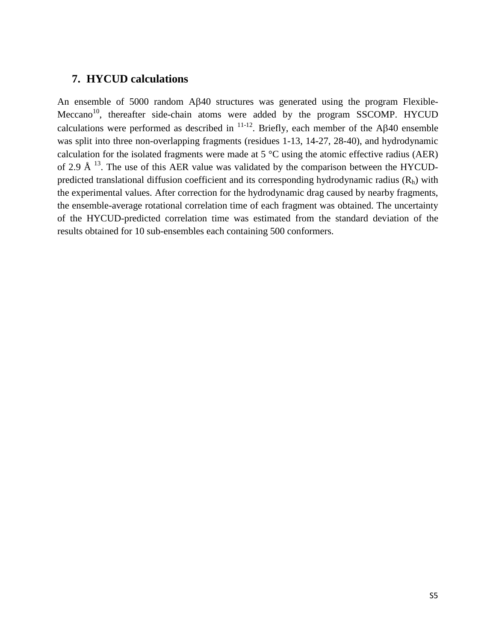### **7. HYCUD calculations**

An ensemble of 5000 random Aβ40 structures was generated using the program Flexible-Meccano<sup>10</sup>, thereafter side-chain atoms were added by the program SSCOMP. HYCUD calculations were performed as described in  $^{11-12}$ . Briefly, each member of the A $\beta$ 40 ensemble was split into three non-overlapping fragments (residues 1-13, 14-27, 28-40), and hydrodynamic calculation for the isolated fragments were made at 5 °C using the atomic effective radius (AER) of 2.9 Å  $^{13}$ . The use of this AER value was validated by the comparison between the HYCUDpredicted translational diffusion coefficient and its corresponding hydrodynamic radius  $(R<sub>h</sub>)$  with the experimental values. After correction for the hydrodynamic drag caused by nearby fragments, the ensemble-average rotational correlation time of each fragment was obtained. The uncertainty of the HYCUD-predicted correlation time was estimated from the standard deviation of the results obtained for 10 sub-ensembles each containing 500 conformers.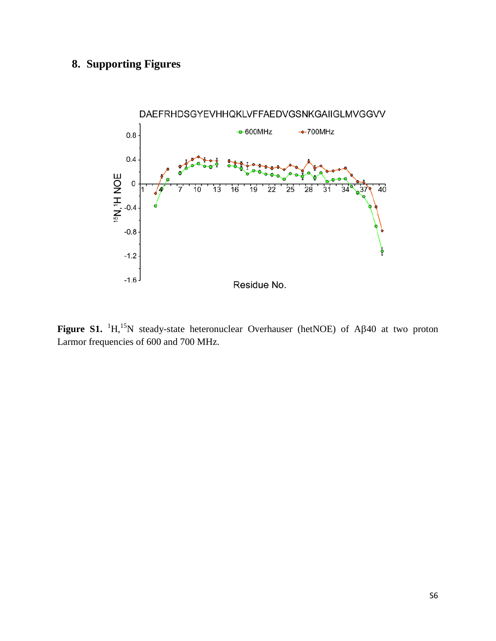# **8. Supporting Figures**



**Figure S1.**  ${}^{1}H, {}^{15}N$  steady-state heteronuclear Overhauser (hetNOE) of A $\beta$ 40 at two proton Larmor frequencies of 600 and 700 MHz.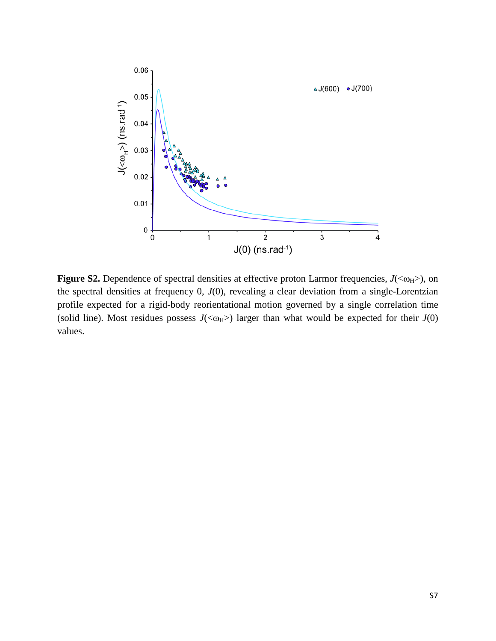

**Figure S2.** Dependence of spectral densities at effective proton Larmor frequencies,  $J( $\omega_H$ )$ , on the spectral densities at frequency 0, *J*(0), revealing a clear deviation from a single-Lorentzian profile expected for a rigid-body reorientational motion governed by a single correlation time (solid line). Most residues possess  $J( $\omega_H$ )$  larger than what would be expected for their  $J(0)$ values.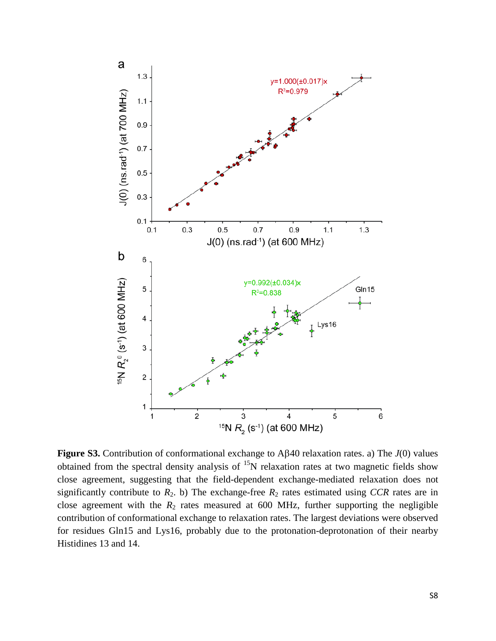

**Figure S3.** Contribution of conformational exchange to Aβ40 relaxation rates. a) The *J*(0) values obtained from the spectral density analysis of  $15N$  relaxation rates at two magnetic fields show close agreement, suggesting that the field-dependent exchange-mediated relaxation does not significantly contribute to  $R_2$ . b) The exchange-free  $R_2$  rates estimated using *CCR* rates are in close agreement with the  $R_2$  rates measured at 600 MHz, further supporting the negligible contribution of conformational exchange to relaxation rates. The largest deviations were observed for residues Gln15 and Lys16, probably due to the protonation-deprotonation of their nearby Histidines 13 and 14.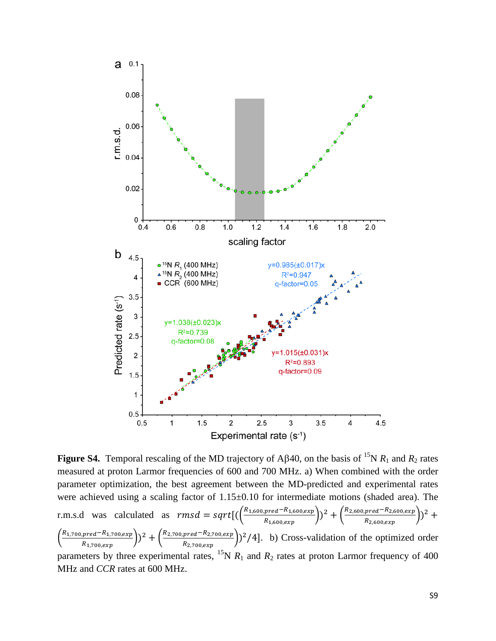

**Figure S4.** Temporal rescaling of the MD trajectory of A $\beta$ 40, on the basis of <sup>15</sup>N  $R_1$  and  $R_2$  rates measured at proton Larmor frequencies of 600 and 700 MHz. a) When combined with the order parameter optimization, the best agreement between the MD-predicted and experimental rates were achieved using a scaling factor of  $1.15\pm0.10$  for intermediate motions (shaded area). The r.m.s.d was calculated as  $rmsd = sqrt[(\frac{R_{1,600, pred}-R_{1,600, ex}}{R_{1,600, grav}}]$  $\binom{pred-R_{1,600,exp}}{R_{1,600,exp}}$ )<sup>2</sup> +  $\binom{R_{2,600,pred-R_{2,600,exp}}{R_{2,600,exp}}$  $\frac{area^{1/2}, 600, exp}{R_{2,600, exp}}$  $\left(\frac{1}{2}\right)^2 +$  $\left(\frac{R_{1,700, pred}-R_{1,700, ex}}{R_{1,700, ev}}\right)$  $\binom{pred-R_{1,700, exp}}{R_{1,700, exp}}$ )<sup>2</sup> +  $\binom{R_{2,700, pred}-R_{2,700, exp}}{R_{2,700, exp}}$  $\frac{p_{real} - N_{2,700, exp}}{R_{2,700, exp}}$  (2/4]. b) Cross-validation of the optimized order parameters by three experimental rates,  ${}^{15}N R_1$  and  $R_2$  rates at proton Larmor frequency of 400 MHz and *CCR* rates at 600 MHz.